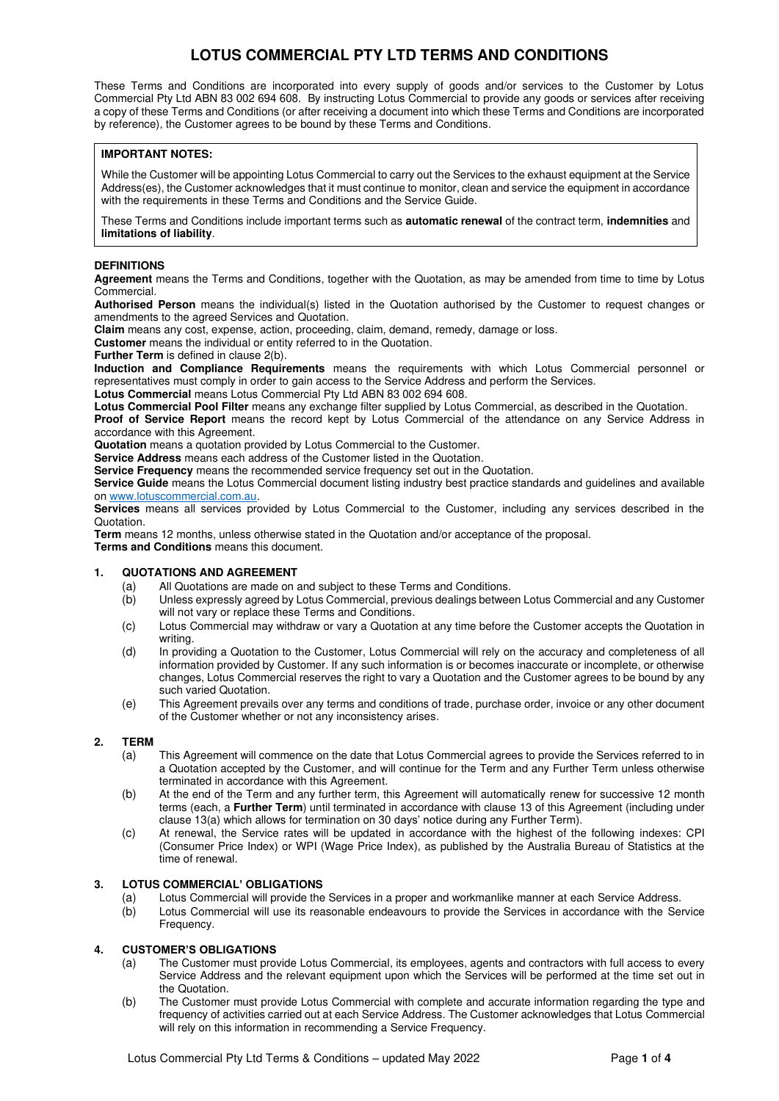These Terms and Conditions are incorporated into every supply of goods and/or services to the Customer by Lotus Commercial Pty Ltd ABN 83 002 694 608. By instructing Lotus Commercial to provide any goods or services after receiving a copy of these Terms and Conditions (or after receiving a document into which these Terms and Conditions are incorporated by reference), the Customer agrees to be bound by these Terms and Conditions.

#### **IMPORTANT NOTES:**

While the Customer will be appointing Lotus Commercial to carry out the Services to the exhaust equipment at the Service Address(es), the Customer acknowledges that it must continue to monitor, clean and service the equipment in accordance with the requirements in these Terms and Conditions and the Service Guide.

These Terms and Conditions include important terms such as **automatic renewal** of the contract term, **indemnities** and **limitations of liability**.

#### **DEFINITIONS**

**Agreement** means the Terms and Conditions, together with the Quotation, as may be amended from time to time by Lotus Commercial.

**Authorised Person** means the individual(s) listed in the Quotation authorised by the Customer to request changes or amendments to the agreed Services and Quotation.

**Claim** means any cost, expense, action, proceeding, claim, demand, remedy, damage or loss.

**Customer** means the individual or entity referred to in the Quotation.

**Further Term** is defined in clause [2\(b\).](#page-0-0)

**Induction and Compliance Requirements** means the requirements with which Lotus Commercial personnel or representatives must comply in order to gain access to the Service Address and perform the Services.

**Lotus Commercial** means Lotus Commercial Pty Ltd ABN 83 002 694 608.

**Lotus Commercial Pool Filter** means any exchange filter supplied by Lotus Commercial, as described in the Quotation.

**Proof of Service Report** means the record kept by Lotus Commercial of the attendance on any Service Address in accordance with this Agreement.

**Quotation** means a quotation provided by Lotus Commercial to the Customer.

**Service Address** means each address of the Customer listed in the Quotation.

**Service Frequency** means the recommended service frequency set out in the Quotation.

**Service Guide** means the Lotus Commercial document listing industry best practice standards and guidelines and available on [www.lotuscommercial.com.au.](http://www.lotuscommercial.com.au/)

**Services** means all services provided by Lotus Commercial to the Customer, including any services described in the Quotation.

**Term** means 12 months, unless otherwise stated in the Quotation and/or acceptance of the proposal.

**Terms and Conditions** means this document.

#### **1. QUOTATIONS AND AGREEMENT**

- (a) All Quotations are made on and subject to these Terms and Conditions.
- (b) Unless expressly agreed by Lotus Commercial, previous dealings between Lotus Commercial and any Customer will not vary or replace these Terms and Conditions.
- (c) Lotus Commercial may withdraw or vary a Quotation at any time before the Customer accepts the Quotation in writing.
- (d) In providing a Quotation to the Customer, Lotus Commercial will rely on the accuracy and completeness of all information provided by Customer. If any such information is or becomes inaccurate or incomplete, or otherwise changes, Lotus Commercial reserves the right to vary a Quotation and the Customer agrees to be bound by any such varied Quotation.
- (e) This Agreement prevails over any terms and conditions of trade, purchase order, invoice or any other document of the Customer whether or not any inconsistency arises.

#### **2. TERM**

- (a) This Agreement will commence on the date that Lotus Commercial agrees to provide the Services referred to in a Quotation accepted by the Customer, and will continue for the Term and any Further Term unless otherwise terminated in accordance with this Agreement.
- <span id="page-0-0"></span>(b) At the end of the Term and any further term, this Agreement will automatically renew for successive 12 month terms (each, a **Further Term**) until terminated in accordance with clause [13](#page-2-0) of this Agreement (including under claus[e 13\(a\)](#page-2-1) which allows for termination on 30 days' notice during any Further Term).
- (c) At renewal, the Service rates will be updated in accordance with the highest of the following indexes: CPI (Consumer Price Index) or WPI (Wage Price Index), as published by the Australia Bureau of Statistics at the time of renewal.

#### **3. LOTUS COMMERCIAL' OBLIGATIONS**

- (a) Lotus Commercial will provide the Services in a proper and workmanlike manner at each Service Address.
- (b) Lotus Commercial will use its reasonable endeavours to provide the Services in accordance with the Service Frequency.

## **4. CUSTOMER'S OBLIGATIONS**

- (a) The Customer must provide Lotus Commercial, its employees, agents and contractors with full access to every Service Address and the relevant equipment upon which the Services will be performed at the time set out in the Quotation.
- (b) The Customer must provide Lotus Commercial with complete and accurate information regarding the type and frequency of activities carried out at each Service Address. The Customer acknowledges that Lotus Commercial will rely on this information in recommending a Service Frequency.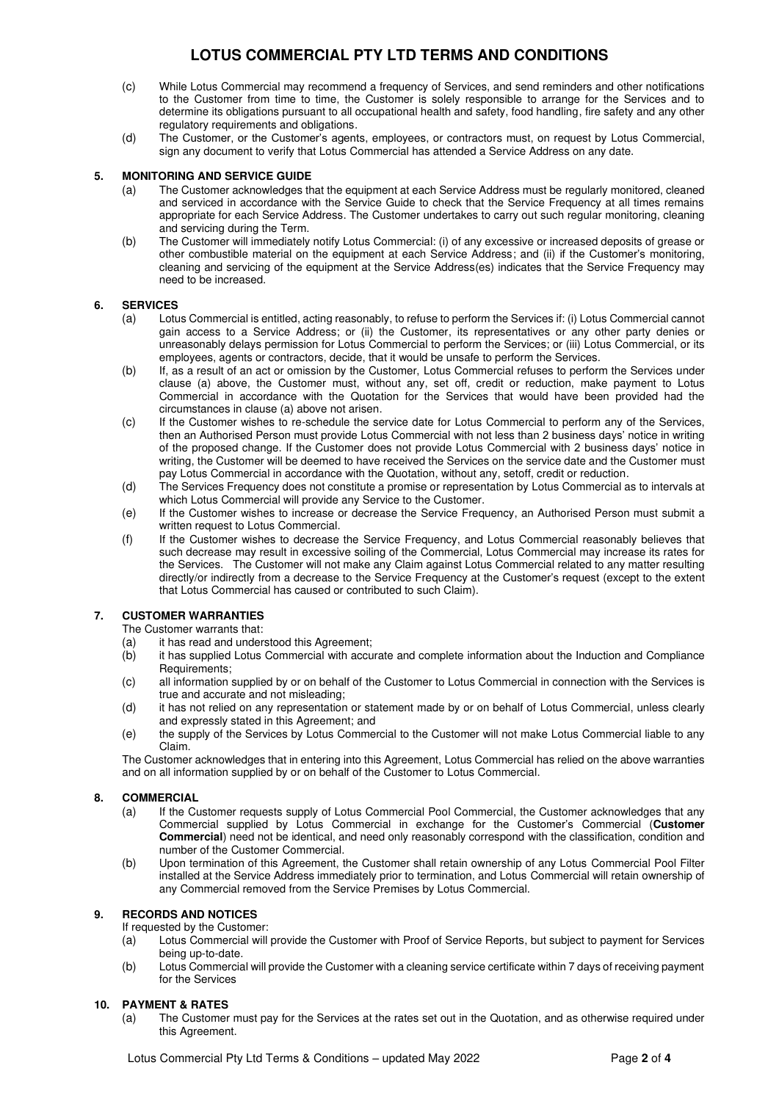- (c) While Lotus Commercial may recommend a frequency of Services, and send reminders and other notifications to the Customer from time to time, the Customer is solely responsible to arrange for the Services and to determine its obligations pursuant to all occupational health and safety, food handling, fire safety and any other regulatory requirements and obligations.
- (d) The Customer, or the Customer's agents, employees, or contractors must, on request by Lotus Commercial, sign any document to verify that Lotus Commercial has attended a Service Address on any date.

## **5. MONITORING AND SERVICE GUIDE**

- (a) The Customer acknowledges that the equipment at each Service Address must be regularly monitored, cleaned and serviced in accordance with the Service Guide to check that the Service Frequency at all times remains appropriate for each Service Address. The Customer undertakes to carry out such regular monitoring, cleaning and servicing during the Term.
- (b) The Customer will immediately notify Lotus Commercial: (i) of any excessive or increased deposits of grease or other combustible material on the equipment at each Service Address; and (ii) if the Customer's monitoring, cleaning and servicing of the equipment at the Service Address(es) indicates that the Service Frequency may need to be increased.

## **6. SERVICES**

- (a) Lotus Commercial is entitled, acting reasonably, to refuse to perform the Services if: (i) Lotus Commercial cannot gain access to a Service Address; or (ii) the Customer, its representatives or any other party denies or unreasonably delays permission for Lotus Commercial to perform the Services; or (iii) Lotus Commercial, or its employees, agents or contractors, decide, that it would be unsafe to perform the Services.
- (b) If, as a result of an act or omission by the Customer, Lotus Commercial refuses to perform the Services under clause (a) above, the Customer must, without any, set off, credit or reduction, make payment to Lotus Commercial in accordance with the Quotation for the Services that would have been provided had the circumstances in clause (a) above not arisen.
- (c) If the Customer wishes to re-schedule the service date for Lotus Commercial to perform any of the Services, then an Authorised Person must provide Lotus Commercial with not less than 2 business days' notice in writing of the proposed change. If the Customer does not provide Lotus Commercial with 2 business days' notice in writing, the Customer will be deemed to have received the Services on the service date and the Customer must pay Lotus Commercial in accordance with the Quotation, without any, setoff, credit or reduction.
- (d) The Services Frequency does not constitute a promise or representation by Lotus Commercial as to intervals at which Lotus Commercial will provide any Service to the Customer.
- (e) If the Customer wishes to increase or decrease the Service Frequency, an Authorised Person must submit a written request to Lotus Commercial.
- (f) If the Customer wishes to decrease the Service Frequency, and Lotus Commercial reasonably believes that such decrease may result in excessive soiling of the Commercial, Lotus Commercial may increase its rates for the Services. The Customer will not make any Claim against Lotus Commercial related to any matter resulting directly/or indirectly from a decrease to the Service Frequency at the Customer's request (except to the extent that Lotus Commercial has caused or contributed to such Claim).

## **7. CUSTOMER WARRANTIES**

The Customer warrants that:

- (a) it has read and understood this Agreement;
- (b) it has supplied Lotus Commercial with accurate and complete information about the Induction and Compliance Requirements;
- (c) all information supplied by or on behalf of the Customer to Lotus Commercial in connection with the Services is true and accurate and not misleading;
- (d) it has not relied on any representation or statement made by or on behalf of Lotus Commercial, unless clearly and expressly stated in this Agreement; and
- (e) the supply of the Services by Lotus Commercial to the Customer will not make Lotus Commercial liable to any Claim.

The Customer acknowledges that in entering into this Agreement, Lotus Commercial has relied on the above warranties and on all information supplied by or on behalf of the Customer to Lotus Commercial.

## **8. COMMERCIAL**

- (a) If the Customer requests supply of Lotus Commercial Pool Commercial, the Customer acknowledges that any Commercial supplied by Lotus Commercial in exchange for the Customer's Commercial (**Customer Commercial**) need not be identical, and need only reasonably correspond with the classification, condition and number of the Customer Commercial.
- (b) Upon termination of this Agreement, the Customer shall retain ownership of any Lotus Commercial Pool Filter installed at the Service Address immediately prior to termination, and Lotus Commercial will retain ownership of any Commercial removed from the Service Premises by Lotus Commercial.

## **9. RECORDS AND NOTICES**

If requested by the Customer:

- (a) Lotus Commercial will provide the Customer with Proof of Service Reports, but subject to payment for Services being up-to-date.
- (b) Lotus Commercial will provide the Customer with a cleaning service certificate within 7 days of receiving payment for the Services

## **10. PAYMENT & RATES**

(a) The Customer must pay for the Services at the rates set out in the Quotation, and as otherwise required under this Agreement.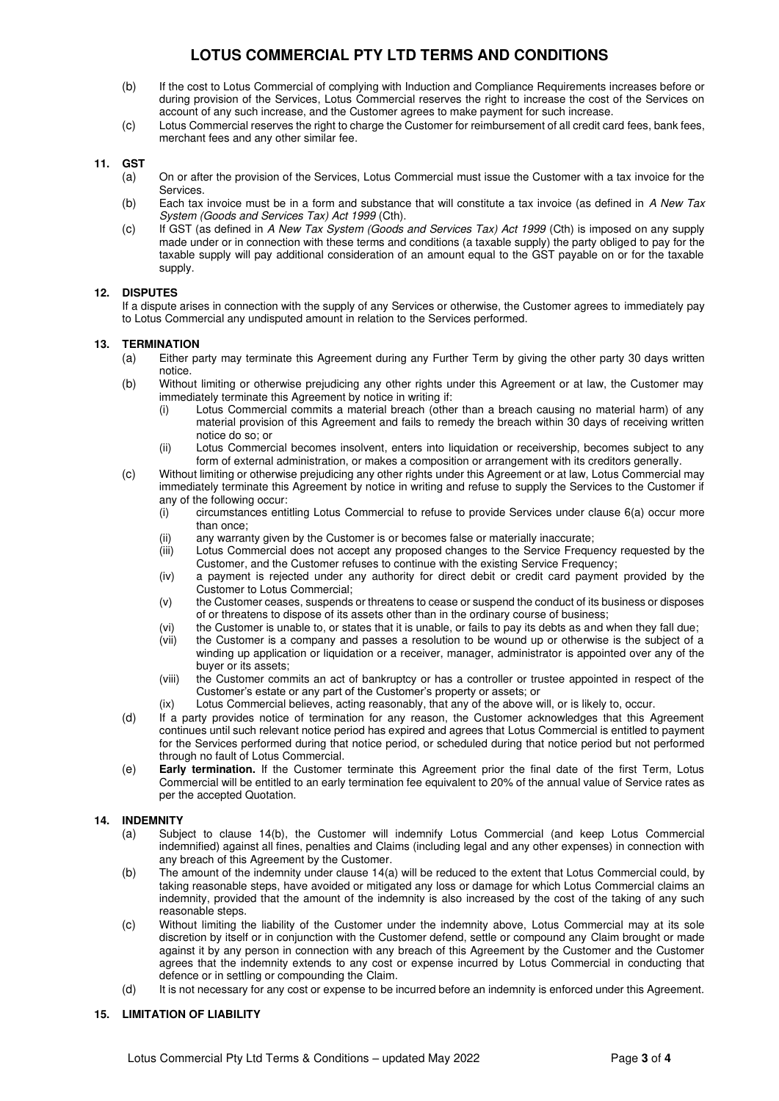- (b) If the cost to Lotus Commercial of complying with Induction and Compliance Requirements increases before or during provision of the Services, Lotus Commercial reserves the right to increase the cost of the Services on account of any such increase, and the Customer agrees to make payment for such increase.
- (c) Lotus Commercial reserves the right to charge the Customer for reimbursement of all credit card fees, bank fees, merchant fees and any other similar fee.

### **11. GST**

- (a) On or after the provision of the Services, Lotus Commercial must issue the Customer with a tax invoice for the **Services**
- (b) Each tax invoice must be in a form and substance that will constitute a tax invoice (as defined in  $A$  New Tax System (Goods and Services Tax) Act 1999 (Cth).
- (c) If GST (as defined in A New Tax System (Goods and Services Tax) Act 1999 (Cth) is imposed on any supply made under or in connection with these terms and conditions (a taxable supply) the party obliged to pay for the taxable supply will pay additional consideration of an amount equal to the GST payable on or for the taxable supply.

#### **12. DISPUTES**

If a dispute arises in connection with the supply of any Services or otherwise, the Customer agrees to immediately pay to Lotus Commercial any undisputed amount in relation to the Services performed.

#### <span id="page-2-1"></span><span id="page-2-0"></span>**13. TERMINATION**

- (a) Either party may terminate this Agreement during any Further Term by giving the other party 30 days written notice.
- (b) Without limiting or otherwise prejudicing any other rights under this Agreement or at law, the Customer may immediately terminate this Agreement by notice in writing if:
	- (i) Lotus Commercial commits a material breach (other than a breach causing no material harm) of any material provision of this Agreement and fails to remedy the breach within 30 days of receiving written notice do so; or
	- (ii) Lotus Commercial becomes insolvent, enters into liquidation or receivership, becomes subject to any form of external administration, or makes a composition or arrangement with its creditors generally.
- (c) Without limiting or otherwise prejudicing any other rights under this Agreement or at law, Lotus Commercial may immediately terminate this Agreement by notice in writing and refuse to supply the Services to the Customer if any of the following occur:
	- (i) circumstances entitling Lotus Commercial to refuse to provide Services under clause 6(a) occur more than once;
	- (ii) any warranty given by the Customer is or becomes false or materially inaccurate;<br>(iii) Lotus Commercial does not accept any proposed changes to the Service Freque
	- Lotus Commercial does not accept any proposed changes to the Service Frequency requested by the Customer, and the Customer refuses to continue with the existing Service Frequency;
	- (iv) a payment is rejected under any authority for direct debit or credit card payment provided by the Customer to Lotus Commercial;
	- (v) the Customer ceases, suspends or threatens to cease or suspend the conduct of its business or disposes of or threatens to dispose of its assets other than in the ordinary course of business;
	- (vi) the Customer is unable to, or states that it is unable, or fails to pay its debts as and when they fall due;
	- (vii) the Customer is a company and passes a resolution to be wound up or otherwise is the subject of a winding up application or liquidation or a receiver, manager, administrator is appointed over any of the buyer or its assets;
	- (viii) the Customer commits an act of bankruptcy or has a controller or trustee appointed in respect of the Customer's estate or any part of the Customer's property or assets; or
	- (ix) Lotus Commercial believes, acting reasonably, that any of the above will, or is likely to, occur.
- (d) If a party provides notice of termination for any reason, the Customer acknowledges that this Agreement continues until such relevant notice period has expired and agrees that Lotus Commercial is entitled to payment for the Services performed during that notice period, or scheduled during that notice period but not performed through no fault of Lotus Commercial.
- (e) **Early termination.** If the Customer terminate this Agreement prior the final date of the first Term, Lotus Commercial will be entitled to an early termination fee equivalent to 20% of the annual value of Service rates as per the accepted Quotation.

#### **14. INDEMNITY**

- (a) Subject to clause 14(b), the Customer will indemnify Lotus Commercial (and keep Lotus Commercial indemnified) against all fines, penalties and Claims (including legal and any other expenses) in connection with any breach of this Agreement by the Customer.
- (b) The amount of the indemnity under clause 14(a) will be reduced to the extent that Lotus Commercial could, by taking reasonable steps, have avoided or mitigated any loss or damage for which Lotus Commercial claims an indemnity, provided that the amount of the indemnity is also increased by the cost of the taking of any such reasonable steps.
- (c) Without limiting the liability of the Customer under the indemnity above, Lotus Commercial may at its sole discretion by itself or in conjunction with the Customer defend, settle or compound any Claim brought or made against it by any person in connection with any breach of this Agreement by the Customer and the Customer agrees that the indemnity extends to any cost or expense incurred by Lotus Commercial in conducting that defence or in settling or compounding the Claim.
- (d) It is not necessary for any cost or expense to be incurred before an indemnity is enforced under this Agreement.

#### **15. LIMITATION OF LIABILITY**